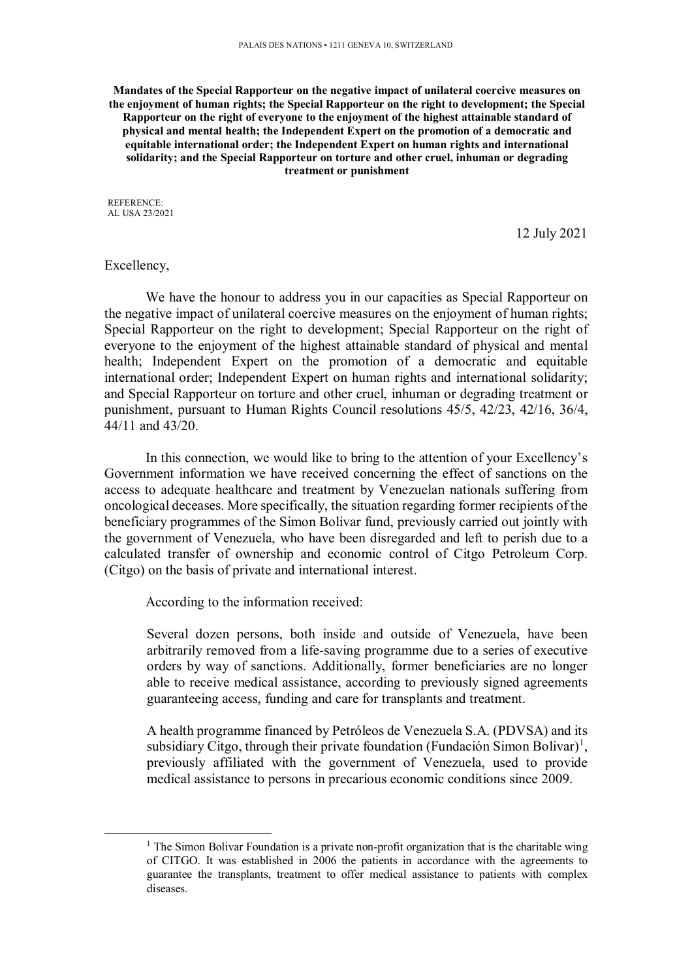**Mandates of the Special Rapporteur on the negative impact of unilateral coercive measures on the enjoyment of human rights; the Special Rapporteur on the right to development; the Special Rapporteur on the right of everyone to the enjoyment of the highest attainable standard of physical and mental health; the Independent Expert on the promotion of a democratic and equitable international order; the Independent Expert on human rights and international solidarity; and the Special Rapporteur on torture and other cruel, inhuman or degrading treatment or punishment** 

REFERENCE: AL USA 23/2021

12 July 2021

## Excellency,

-

We have the honour to address you in our capacities as Special Rapporteur on the negative impact of unilateral coercive measures on the enjoyment of human rights; Special Rapporteur on the right to development; Special Rapporteur on the right of everyone to the enjoyment of the highest attainable standard of physical and mental health; Independent Expert on the promotion of a democratic and equitable international order; Independent Expert on human rights and international solidarity; and Special Rapporteur on torture and other cruel, inhuman or degrading treatment or punishment, pursuant to Human Rights Council resolutions 45/5, 42/23, 42/16, 36/4, 44/11 and 43/20.

In this connection, we would like to bring to the attention of your Excellency's Government information we have received concerning the effect of sanctions on the access to adequate healthcare and treatment by Venezuelan nationals suffering from oncological deceases. More specifically, the situation regarding former recipients of the beneficiary programmes of the Simon Bolivar fund, previously carried out jointly with the government of Venezuela, who have been disregarded and left to perish due to a calculated transfer of ownership and economic control of Citgo Petroleum Corp. (Citgo) on the basis of private and international interest.

According to the information received:

Several dozen persons, both inside and outside of Venezuela, have been arbitrarily removed from a life-saving programme due to a series of executive orders by way of sanctions. Additionally, former beneficiaries are no longer able to receive medical assistance, according to previously signed agreements guaranteeing access, funding and care for transplants and treatment.

A health programme financed by Petróleos de Venezuela S.A. (PDVSA) and its subsidiary Citgo, through their private foundation (Fundación Simon Bolivar)<sup>1</sup>, previously affiliated with the government of Venezuela, used to provide medical assistance to persons in precarious economic conditions since 2009.

<sup>&</sup>lt;sup>1</sup> The Simon Bolivar Foundation is a private non-profit organization that is the charitable wing of CITGO. It was established in 2006 the patients in accordance with the agreements to guarantee the transplants, treatment to offer medical assistance to patients with complex diseases.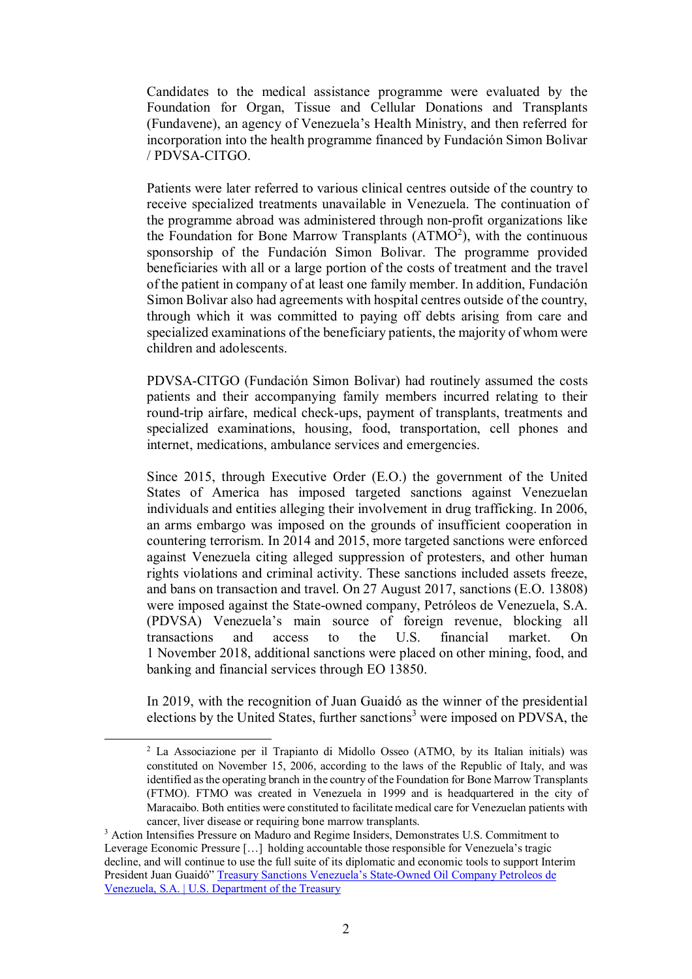Candidates to the medical assistance programme were evaluated by the Foundation for Organ, Tissue and Cellular Donations and Transplants (Fundavene), an agency of Venezuela's Health Ministry, and then referred for incorporation into the health programme financed by Fundación Simon Bolivar / PDVSA-CITGO.

Patients were later referred to various clinical centres outside of the country to receive specialized treatments unavailable in Venezuela. The continuation of the programme abroad was administered through non-profit organizations like the Foundation for Bone Marrow Transplants  $(ATMO<sup>2</sup>)$ , with the continuous sponsorship of the Fundación Simon Bolivar. The programme provided beneficiaries with all or a large portion of the costs of treatment and the travel of the patient in company of at least one family member. In addition, Fundación Simon Bolivar also had agreements with hospital centres outside of the country, through which it was committed to paying off debts arising from care and specialized examinations of the beneficiary patients, the majority of whom were children and adolescents.

PDVSA-CITGO (Fundación Simon Bolivar) had routinely assumed the costs patients and their accompanying family members incurred relating to their round-trip airfare, medical check-ups, payment of transplants, treatments and specialized examinations, housing, food, transportation, cell phones and internet, medications, ambulance services and emergencies.

Since 2015, through Executive Order (E.O.) the government of the United States of America has imposed targeted sanctions against Venezuelan individuals and entities alleging their involvement in drug trafficking. In 2006, an arms embargo was imposed on the grounds of insufficient cooperation in countering terrorism. In 2014 and 2015, more targeted sanctions were enforced against Venezuela citing alleged suppression of protesters, and other human rights violations and criminal activity. These sanctions included assets freeze, and bans on transaction and travel. On 27 August 2017, sanctions (E.O. 13808) were imposed against the State-owned company, Petróleos de Venezuela, S.A. (PDVSA) Venezuela's main source of foreign revenue, blocking all transactions and access to the U.S. financial market. On 1 November 2018, additional sanctions were placed on other mining, food, and banking and financial services through EO 13850.

In 2019, with the recognition of Juan Guaidó as the winner of the presidential elections by the United States, further sanctions<sup>3</sup> were imposed on PDVSA, the

-

<sup>2</sup> La Associazione per il Trapianto di Midollo Osseo (ATMO, by its Italian initials) was constituted on November 15, 2006, according to the laws of the Republic of Italy, and was identified as the operating branch in the country of the Foundation for Bone Marrow Transplants (FTMO). FTMO was created in Venezuela in 1999 and is headquartered in the city of Maracaibo. Both entities were constituted to facilitate medical care for Venezuelan patients with cancer, liver disease or requiring bone marrow transplants.

<sup>&</sup>lt;sup>3</sup> Action Intensifies Pressure on Maduro and Regime Insiders, Demonstrates U.S. Commitment to Leverage Economic Pressure […] holding accountable those responsible for Venezuela's tragic decline, and will continue to use the full suite of its diplomatic and economic tools to support Interim President Juan Guaidó" Treasury Sanctions Venezuela's State-Owned Oil Company Petroleos de Venezuela, S.A. | U.S. Department of the Treasury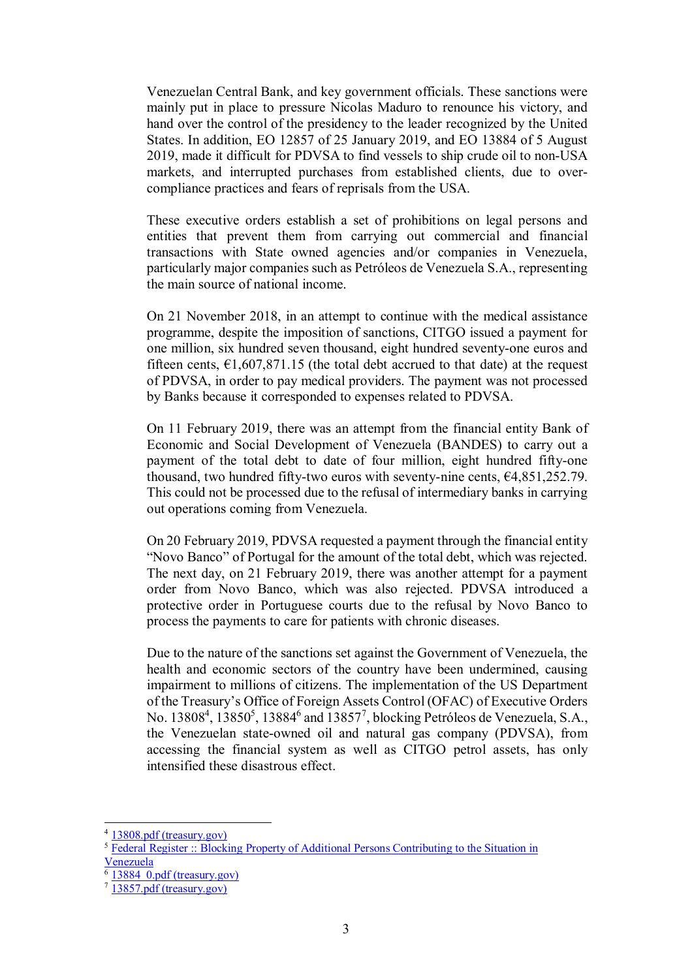Venezuelan Central Bank, and key government officials. These sanctions were mainly put in place to pressure Nicolas Maduro to renounce his victory, and hand over the control of the presidency to the leader recognized by the United States. In addition, EO 12857 of 25 January 2019, and EO 13884 of 5 August 2019, made it difficult for PDVSA to find vessels to ship crude oil to non-USA markets, and interrupted purchases from established clients, due to overcompliance practices and fears of reprisals from the USA.

These executive orders establish a set of prohibitions on legal persons and entities that prevent them from carrying out commercial and financial transactions with State owned agencies and/or companies in Venezuela, particularly major companies such as Petróleos de Venezuela S.A., representing the main source of national income.

On 21 November 2018, in an attempt to continue with the medical assistance programme, despite the imposition of sanctions, CITGO issued a payment for one million, six hundred seven thousand, eight hundred seventy-one euros and fifteen cents,  $\epsilon$ 1,607,871.15 (the total debt accrued to that date) at the request of PDVSA, in order to pay medical providers. The payment was not processed by Banks because it corresponded to expenses related to PDVSA.

On 11 February 2019, there was an attempt from the financial entity Bank of Economic and Social Development of Venezuela (BANDES) to carry out a payment of the total debt to date of four million, eight hundred fifty-one thousand, two hundred fifty-two euros with seventy-nine cents,  $64,851,252.79$ . This could not be processed due to the refusal of intermediary banks in carrying out operations coming from Venezuela.

On 20 February 2019, PDVSA requested a payment through the financial entity "Novo Banco" of Portugal for the amount of the total debt, which was rejected. The next day, on 21 February 2019, there was another attempt for a payment order from Novo Banco, which was also rejected. PDVSA introduced a protective order in Portuguese courts due to the refusal by Novo Banco to process the payments to care for patients with chronic diseases.

Due to the nature of the sanctions set against the Government of Venezuela, the health and economic sectors of the country have been undermined, causing impairment to millions of citizens. The implementation of the US Department of the Treasury's Office of Foreign Assets Control (OFAC) of Executive Orders No. 13808<sup>4</sup>, 13850<sup>5</sup>, 13884<sup>6</sup> and 13857<sup>7</sup>, blocking Petróleos de Venezuela, S.A., the Venezuelan state-owned oil and natural gas company (PDVSA), from accessing the financial system as well as CITGO petrol assets, has only intensified these disastrous effect.

-

<sup>4</sup> 13808.pdf (treasury.gov)

<sup>5</sup> Federal Register :: Blocking Property of Additional Persons Contributing to the Situation in Venezuela

 $\overline{6}$  13884  $\overline{0}$ .pdf (treasury.gov)

<sup>7</sup> 13857.pdf (treasury.gov)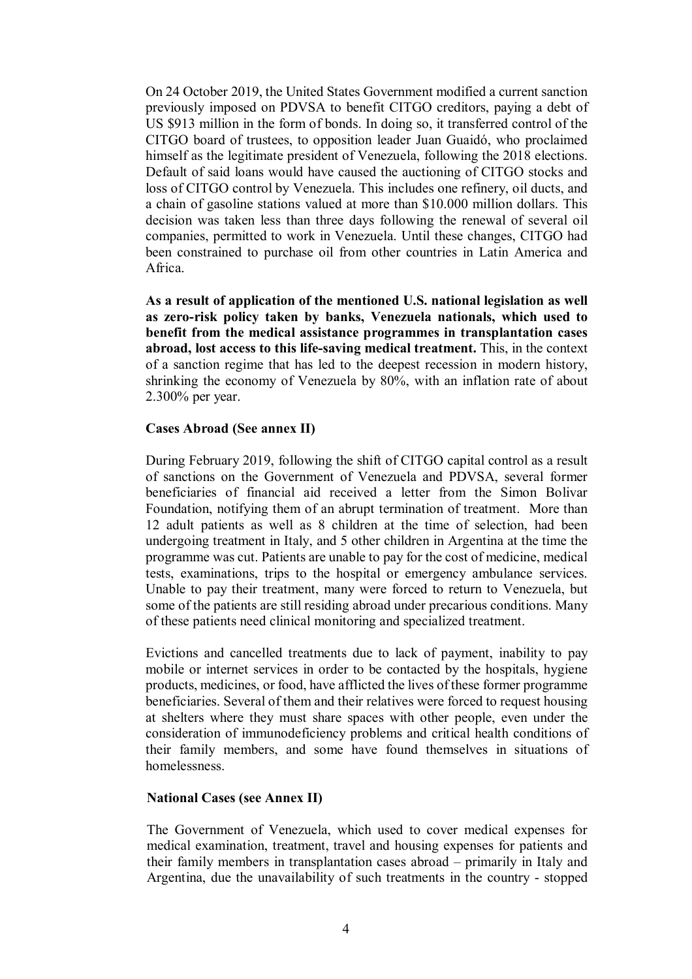On 24 October 2019, the United States Government modified a current sanction previously imposed on PDVSA to benefit CITGO creditors, paying a debt of US \$913 million in the form of bonds. In doing so, it transferred control of the CITGO board of trustees, to opposition leader Juan Guaidó, who proclaimed himself as the legitimate president of Venezuela, following the 2018 elections. Default of said loans would have caused the auctioning of CITGO stocks and loss of CITGO control by Venezuela. This includes one refinery, oil ducts, and a chain of gasoline stations valued at more than \$10.000 million dollars. This decision was taken less than three days following the renewal of several oil companies, permitted to work in Venezuela. Until these changes, CITGO had been constrained to purchase oil from other countries in Latin America and Africa.

**As a result of application of the mentioned U.S. national legislation as well as zero-risk policy taken by banks, Venezuela nationals, which used to benefit from the medical assistance programmes in transplantation cases abroad, lost access to this life-saving medical treatment.** This, in the context of a sanction regime that has led to the deepest recession in modern history, shrinking the economy of Venezuela by 80%, with an inflation rate of about 2.300% per year.

## **Cases Abroad (See annex II)**

During February 2019, following the shift of CITGO capital control as a result of sanctions on the Government of Venezuela and PDVSA, several former beneficiaries of financial aid received a letter from the Simon Bolivar Foundation, notifying them of an abrupt termination of treatment. More than 12 adult patients as well as 8 children at the time of selection, had been undergoing treatment in Italy, and 5 other children in Argentina at the time the programme was cut. Patients are unable to pay for the cost of medicine, medical tests, examinations, trips to the hospital or emergency ambulance services. Unable to pay their treatment, many were forced to return to Venezuela, but some of the patients are still residing abroad under precarious conditions. Many of these patients need clinical monitoring and specialized treatment.

Evictions and cancelled treatments due to lack of payment, inability to pay mobile or internet services in order to be contacted by the hospitals, hygiene products, medicines, or food, have afflicted the lives of these former programme beneficiaries. Several of them and their relatives were forced to request housing at shelters where they must share spaces with other people, even under the consideration of immunodeficiency problems and critical health conditions of their family members, and some have found themselves in situations of homelessness.

## **National Cases (see Annex II)**

The Government of Venezuela, which used to cover medical expenses for medical examination, treatment, travel and housing expenses for patients and their family members in transplantation cases abroad – primarily in Italy and Argentina, due the unavailability of such treatments in the country - stopped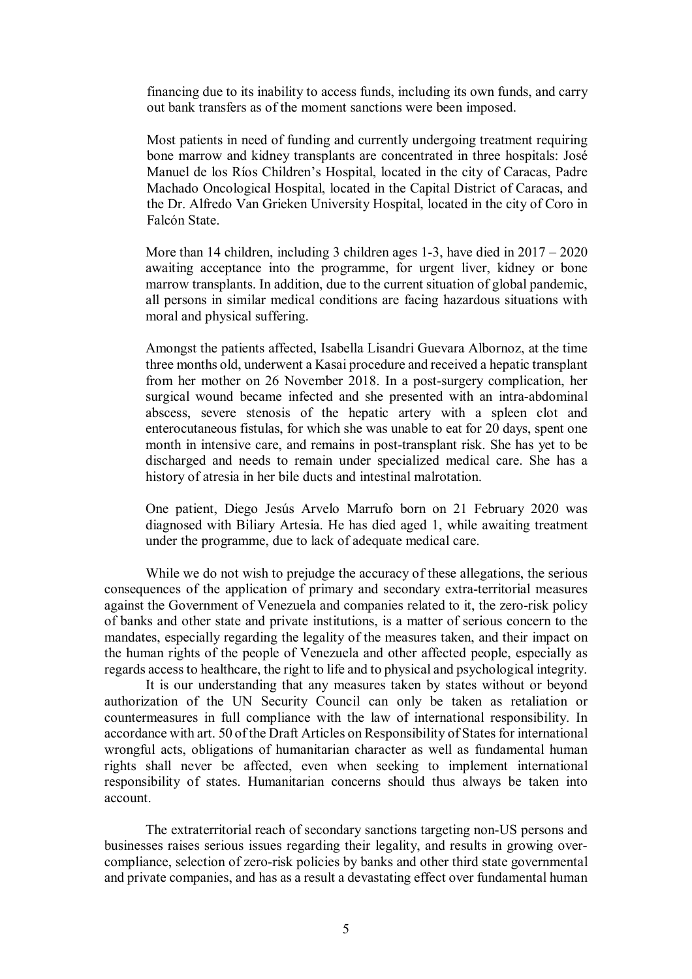financing due to its inability to access funds, including its own funds, and carry out bank transfers as of the moment sanctions were been imposed.

Most patients in need of funding and currently undergoing treatment requiring bone marrow and kidney transplants are concentrated in three hospitals: José Manuel de los Ríos Children's Hospital, located in the city of Caracas, Padre Machado Oncological Hospital, located in the Capital District of Caracas, and the Dr. Alfredo Van Grieken University Hospital, located in the city of Coro in Falcón State.

More than 14 children, including 3 children ages 1-3, have died in 2017 – 2020 awaiting acceptance into the programme, for urgent liver, kidney or bone marrow transplants. In addition, due to the current situation of global pandemic, all persons in similar medical conditions are facing hazardous situations with moral and physical suffering.

Amongst the patients affected, Isabella Lisandri Guevara Albornoz, at the time three months old, underwent a Kasai procedure and received a hepatic transplant from her mother on 26 November 2018. In a post-surgery complication, her surgical wound became infected and she presented with an intra-abdominal abscess, severe stenosis of the hepatic artery with a spleen clot and enterocutaneous fistulas, for which she was unable to eat for 20 days, spent one month in intensive care, and remains in post-transplant risk. She has yet to be discharged and needs to remain under specialized medical care. She has a history of atresia in her bile ducts and intestinal malrotation.

One patient, Diego Jesús Arvelo Marrufo born on 21 February 2020 was diagnosed with Biliary Artesia. He has died aged 1, while awaiting treatment under the programme, due to lack of adequate medical care.

While we do not wish to prejudge the accuracy of these allegations, the serious consequences of the application of primary and secondary extra-territorial measures against the Government of Venezuela and companies related to it, the zero-risk policy of banks and other state and private institutions, is a matter of serious concern to the mandates, especially regarding the legality of the measures taken, and their impact on the human rights of the people of Venezuela and other affected people, especially as regards access to healthcare, the right to life and to physical and psychological integrity.

It is our understanding that any measures taken by states without or beyond authorization of the UN Security Council can only be taken as retaliation or countermeasures in full compliance with the law of international responsibility. In accordance with art. 50 of the Draft Articles on Responsibility of States for international wrongful acts, obligations of humanitarian character as well as fundamental human rights shall never be affected, even when seeking to implement international responsibility of states. Humanitarian concerns should thus always be taken into account.

The extraterritorial reach of secondary sanctions targeting non-US persons and businesses raises serious issues regarding their legality, and results in growing overcompliance, selection of zero-risk policies by banks and other third state governmental and private companies, and has as a result a devastating effect over fundamental human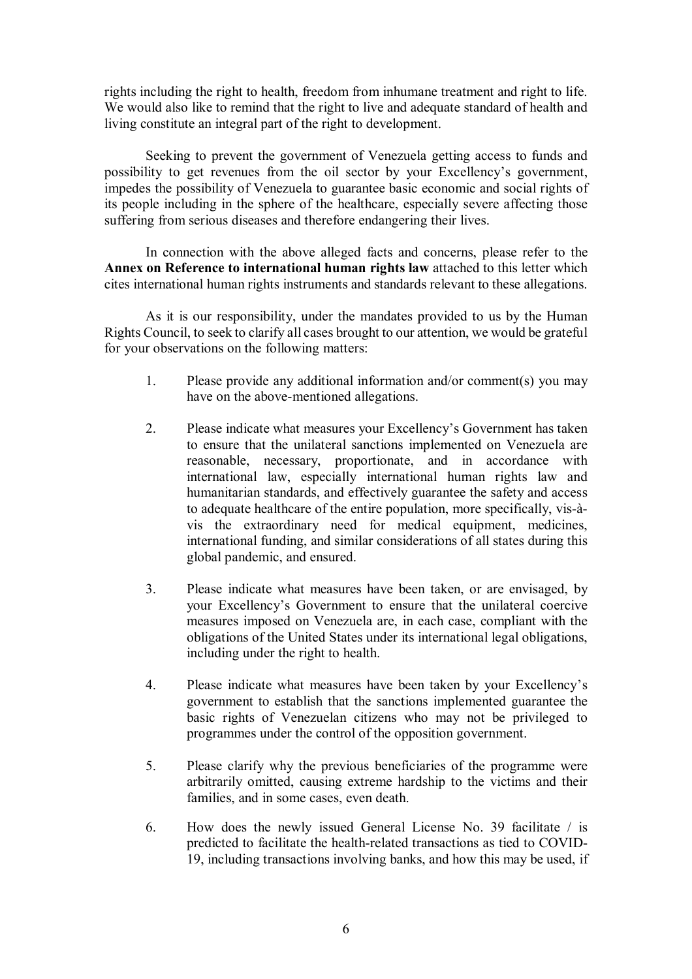rights including the right to health, freedom from inhumane treatment and right to life. We would also like to remind that the right to live and adequate standard of health and living constitute an integral part of the right to development.

Seeking to prevent the government of Venezuela getting access to funds and possibility to get revenues from the oil sector by your Excellency's government, impedes the possibility of Venezuela to guarantee basic economic and social rights of its people including in the sphere of the healthcare, especially severe affecting those suffering from serious diseases and therefore endangering their lives.

In connection with the above alleged facts and concerns, please refer to the **Annex on Reference to international human rights law** attached to this letter which cites international human rights instruments and standards relevant to these allegations.

As it is our responsibility, under the mandates provided to us by the Human Rights Council, to seek to clarify all cases brought to our attention, we would be grateful for your observations on the following matters:

- 1. Please provide any additional information and/or comment(s) you may have on the above-mentioned allegations.
- 2. Please indicate what measures your Excellency's Government has taken to ensure that the unilateral sanctions implemented on Venezuela are reasonable, necessary, proportionate, and in accordance with international law, especially international human rights law and humanitarian standards, and effectively guarantee the safety and access to adequate healthcare of the entire population, more specifically, vis-àvis the extraordinary need for medical equipment, medicines, international funding, and similar considerations of all states during this global pandemic, and ensured.
- 3. Please indicate what measures have been taken, or are envisaged, by your Excellency's Government to ensure that the unilateral coercive measures imposed on Venezuela are, in each case, compliant with the obligations of the United States under its international legal obligations, including under the right to health.
- 4. Please indicate what measures have been taken by your Excellency's government to establish that the sanctions implemented guarantee the basic rights of Venezuelan citizens who may not be privileged to programmes under the control of the opposition government.
- 5. Please clarify why the previous beneficiaries of the programme were arbitrarily omitted, causing extreme hardship to the victims and their families, and in some cases, even death.
- 6. How does the newly issued General License No. 39 facilitate / is predicted to facilitate the health-related transactions as tied to COVID-19, including transactions involving banks, and how this may be used, if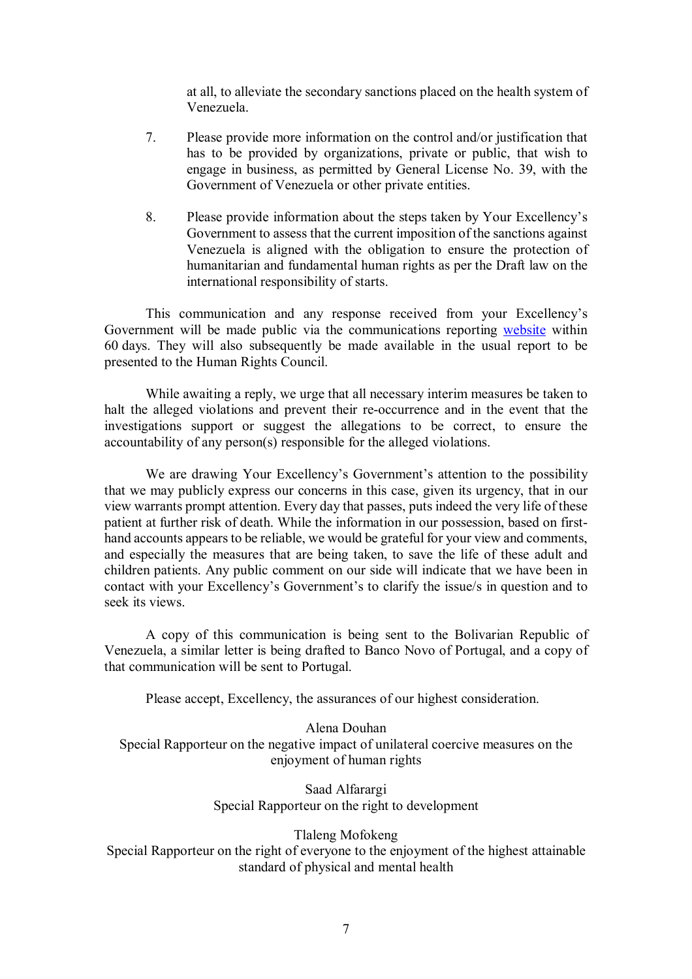at all, to alleviate the secondary sanctions placed on the health system of Venezuela.

- 7. Please provide more information on the control and/or justification that has to be provided by organizations, private or public, that wish to engage in business, as permitted by General License No. 39, with the Government of Venezuela or other private entities.
- 8. Please provide information about the steps taken by Your Excellency's Government to assess that the current imposition of the sanctions against Venezuela is aligned with the obligation to ensure the protection of humanitarian and fundamental human rights as per the Draft law on the international responsibility of starts.

This communication and any response received from your Excellency's Government will be made public via the communications reporting website within 60 days. They will also subsequently be made available in the usual report to be presented to the Human Rights Council.

While awaiting a reply, we urge that all necessary interim measures be taken to halt the alleged violations and prevent their re-occurrence and in the event that the investigations support or suggest the allegations to be correct, to ensure the accountability of any person(s) responsible for the alleged violations.

We are drawing Your Excellency's Government's attention to the possibility that we may publicly express our concerns in this case, given its urgency, that in our view warrants prompt attention. Every day that passes, puts indeed the very life of these patient at further risk of death. While the information in our possession, based on firsthand accounts appears to be reliable, we would be grateful for your view and comments, and especially the measures that are being taken, to save the life of these adult and children patients. Any public comment on our side will indicate that we have been in contact with your Excellency's Government's to clarify the issue/s in question and to seek its views.

A copy of this communication is being sent to the Bolivarian Republic of Venezuela, a similar letter is being drafted to Banco Novo of Portugal, and a copy of that communication will be sent to Portugal.

Please accept, Excellency, the assurances of our highest consideration.

Alena Douhan Special Rapporteur on the negative impact of unilateral coercive measures on the enjoyment of human rights

> Saad Alfarargi Special Rapporteur on the right to development

> > Tlaleng Mofokeng

Special Rapporteur on the right of everyone to the enjoyment of the highest attainable standard of physical and mental health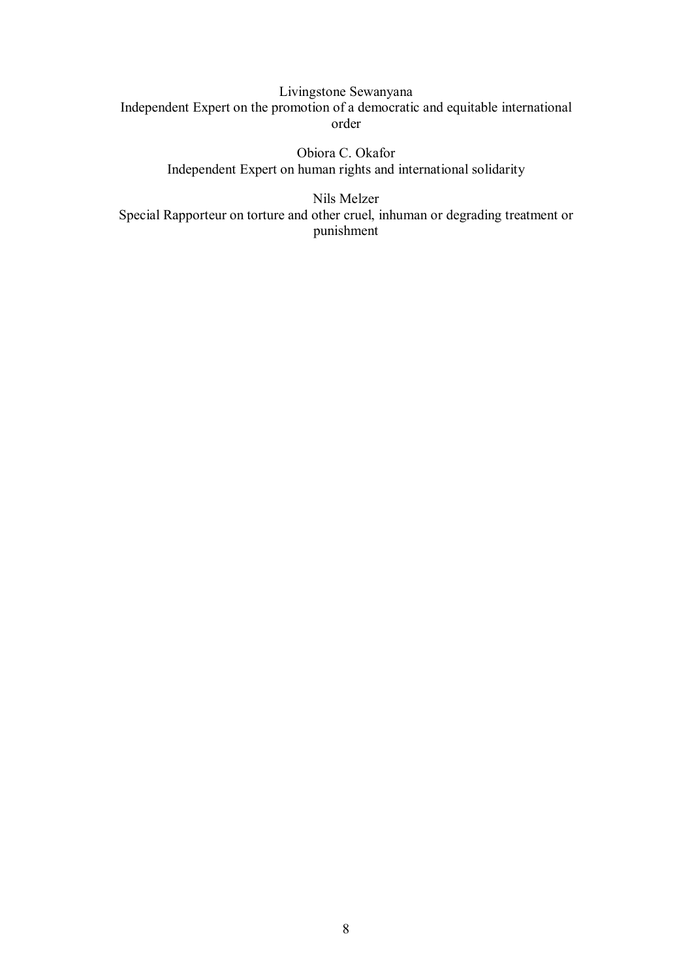Livingstone Sewanyana Independent Expert on the promotion of a democratic and equitable international order

> Obiora C. Okafor Independent Expert on human rights and international solidarity

Nils Melzer Special Rapporteur on torture and other cruel, inhuman or degrading treatment or punishment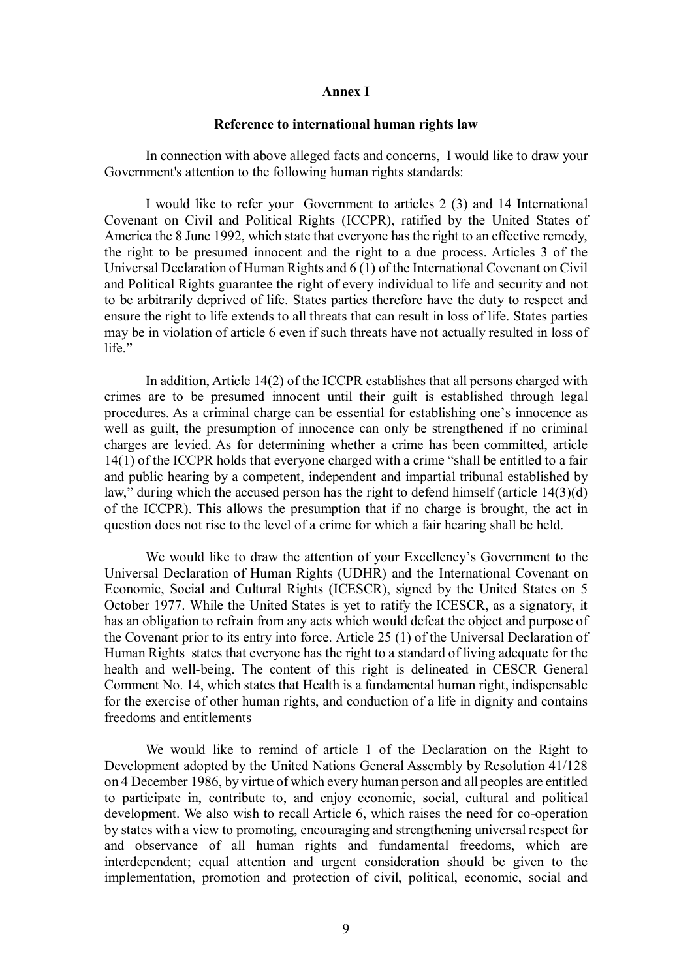#### **Annex I**

#### **Reference to international human rights law**

In connection with above alleged facts and concerns, I would like to draw your Government's attention to the following human rights standards:

I would like to refer your Government to articles 2 (3) and 14 International Covenant on Civil and Political Rights (ICCPR), ratified by the United States of America the 8 June 1992, which state that everyone has the right to an effective remedy, the right to be presumed innocent and the right to a due process. Articles 3 of the Universal Declaration of Human Rights and 6 (1) of the International Covenant on Civil and Political Rights guarantee the right of every individual to life and security and not to be arbitrarily deprived of life. States parties therefore have the duty to respect and ensure the right to life extends to all threats that can result in loss of life. States parties may be in violation of article 6 even if such threats have not actually resulted in loss of life."

In addition, Article 14(2) of the ICCPR establishes that all persons charged with crimes are to be presumed innocent until their guilt is established through legal procedures. As a criminal charge can be essential for establishing one's innocence as well as guilt, the presumption of innocence can only be strengthened if no criminal charges are levied. As for determining whether a crime has been committed, article 14(1) of the ICCPR holds that everyone charged with a crime "shall be entitled to a fair and public hearing by a competent, independent and impartial tribunal established by law," during which the accused person has the right to defend himself (article 14(3)(d) of the ICCPR). This allows the presumption that if no charge is brought, the act in question does not rise to the level of a crime for which a fair hearing shall be held.

We would like to draw the attention of your Excellency's Government to the Universal Declaration of Human Rights (UDHR) and the International Covenant on Economic, Social and Cultural Rights (ICESCR), signed by the United States on 5 October 1977. While the United States is yet to ratify the ICESCR, as a signatory, it has an obligation to refrain from any acts which would defeat the object and purpose of the Covenant prior to its entry into force. Article 25 (1) of the Universal Declaration of Human Rights states that everyone has the right to a standard of living adequate for the health and well-being. The content of this right is delineated in CESCR General Comment No. 14, which states that Health is a fundamental human right, indispensable for the exercise of other human rights, and conduction of a life in dignity and contains freedoms and entitlements

We would like to remind of article 1 of the Declaration on the Right to Development adopted by the United Nations General Assembly by Resolution 41/128 on 4 December 1986, by virtue of which every human person and all peoples are entitled to participate in, contribute to, and enjoy economic, social, cultural and political development. We also wish to recall Article 6, which raises the need for co-operation by states with a view to promoting, encouraging and strengthening universal respect for and observance of all human rights and fundamental freedoms, which are interdependent; equal attention and urgent consideration should be given to the implementation, promotion and protection of civil, political, economic, social and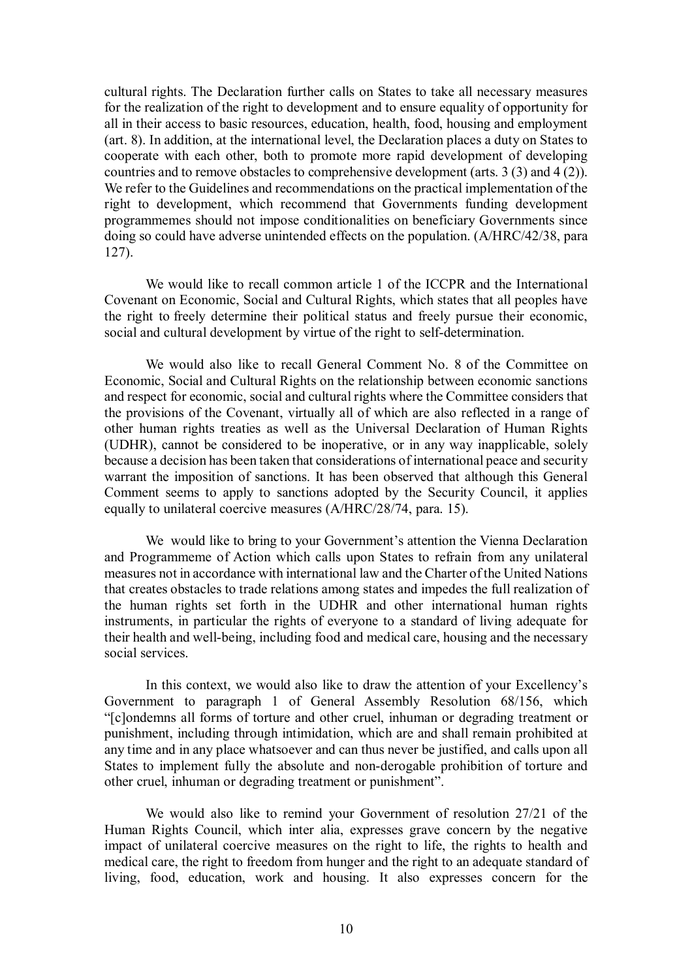cultural rights. The Declaration further calls on States to take all necessary measures for the realization of the right to development and to ensure equality of opportunity for all in their access to basic resources, education, health, food, housing and employment (art. 8). In addition, at the international level, the Declaration places a duty on States to cooperate with each other, both to promote more rapid development of developing countries and to remove obstacles to comprehensive development (arts. 3 (3) and 4 (2)). We refer to the Guidelines and recommendations on the practical implementation of the right to development, which recommend that Governments funding development programmemes should not impose conditionalities on beneficiary Governments since doing so could have adverse unintended effects on the population. (A/HRC/42/38, para 127).

We would like to recall common article 1 of the ICCPR and the International Covenant on Economic, Social and Cultural Rights, which states that all peoples have the right to freely determine their political status and freely pursue their economic, social and cultural development by virtue of the right to self-determination.

We would also like to recall General Comment No. 8 of the Committee on Economic, Social and Cultural Rights on the relationship between economic sanctions and respect for economic, social and cultural rights where the Committee considers that the provisions of the Covenant, virtually all of which are also reflected in a range of other human rights treaties as well as the Universal Declaration of Human Rights (UDHR), cannot be considered to be inoperative, or in any way inapplicable, solely because a decision has been taken that considerations of international peace and security warrant the imposition of sanctions. It has been observed that although this General Comment seems to apply to sanctions adopted by the Security Council, it applies equally to unilateral coercive measures (A/HRC/28/74, para. 15).

We would like to bring to your Government's attention the Vienna Declaration and Programmeme of Action which calls upon States to refrain from any unilateral measures not in accordance with international law and the Charter of the United Nations that creates obstacles to trade relations among states and impedes the full realization of the human rights set forth in the UDHR and other international human rights instruments, in particular the rights of everyone to a standard of living adequate for their health and well-being, including food and medical care, housing and the necessary social services.

In this context, we would also like to draw the attention of your Excellency's Government to paragraph 1 of General Assembly Resolution 68/156, which "[c]ondemns all forms of torture and other cruel, inhuman or degrading treatment or punishment, including through intimidation, which are and shall remain prohibited at any time and in any place whatsoever and can thus never be justified, and calls upon all States to implement fully the absolute and non-derogable prohibition of torture and other cruel, inhuman or degrading treatment or punishment".

We would also like to remind your Government of resolution 27/21 of the Human Rights Council, which inter alia, expresses grave concern by the negative impact of unilateral coercive measures on the right to life, the rights to health and medical care, the right to freedom from hunger and the right to an adequate standard of living, food, education, work and housing. It also expresses concern for the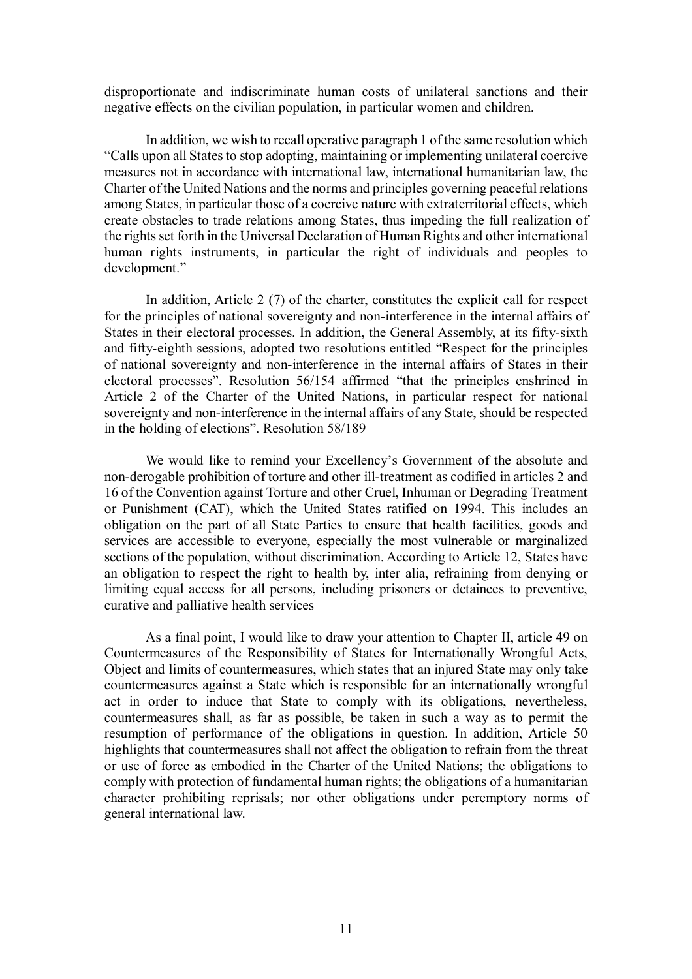disproportionate and indiscriminate human costs of unilateral sanctions and their negative effects on the civilian population, in particular women and children.

In addition, we wish to recall operative paragraph 1 of the same resolution which "Calls upon all States to stop adopting, maintaining or implementing unilateral coercive measures not in accordance with international law, international humanitarian law, the Charter of the United Nations and the norms and principles governing peaceful relations among States, in particular those of a coercive nature with extraterritorial effects, which create obstacles to trade relations among States, thus impeding the full realization of the rights set forth in the Universal Declaration of Human Rights and other international human rights instruments, in particular the right of individuals and peoples to development."

In addition, Article 2 (7) of the charter, constitutes the explicit call for respect for the principles of national sovereignty and non-interference in the internal affairs of States in their electoral processes. In addition, the General Assembly, at its fifty-sixth and fifty-eighth sessions, adopted two resolutions entitled "Respect for the principles of national sovereignty and non-interference in the internal affairs of States in their electoral processes". Resolution 56/154 affirmed "that the principles enshrined in Article 2 of the Charter of the United Nations, in particular respect for national sovereignty and non-interference in the internal affairs of any State, should be respected in the holding of elections". Resolution 58/189

We would like to remind your Excellency's Government of the absolute and non-derogable prohibition of torture and other ill-treatment as codified in articles 2 and 16 of the Convention against Torture and other Cruel, Inhuman or Degrading Treatment or Punishment (CAT), which the United States ratified on 1994. This includes an obligation on the part of all State Parties to ensure that health facilities, goods and services are accessible to everyone, especially the most vulnerable or marginalized sections of the population, without discrimination. According to Article 12, States have an obligation to respect the right to health by, inter alia, refraining from denying or limiting equal access for all persons, including prisoners or detainees to preventive, curative and palliative health services

As a final point, I would like to draw your attention to Chapter II, article 49 on Countermeasures of the Responsibility of States for Internationally Wrongful Acts, Object and limits of countermeasures, which states that an injured State may only take countermeasures against a State which is responsible for an internationally wrongful act in order to induce that State to comply with its obligations, nevertheless, countermeasures shall, as far as possible, be taken in such a way as to permit the resumption of performance of the obligations in question. In addition, Article 50 highlights that countermeasures shall not affect the obligation to refrain from the threat or use of force as embodied in the Charter of the United Nations; the obligations to comply with protection of fundamental human rights; the obligations of a humanitarian character prohibiting reprisals; nor other obligations under peremptory norms of general international law.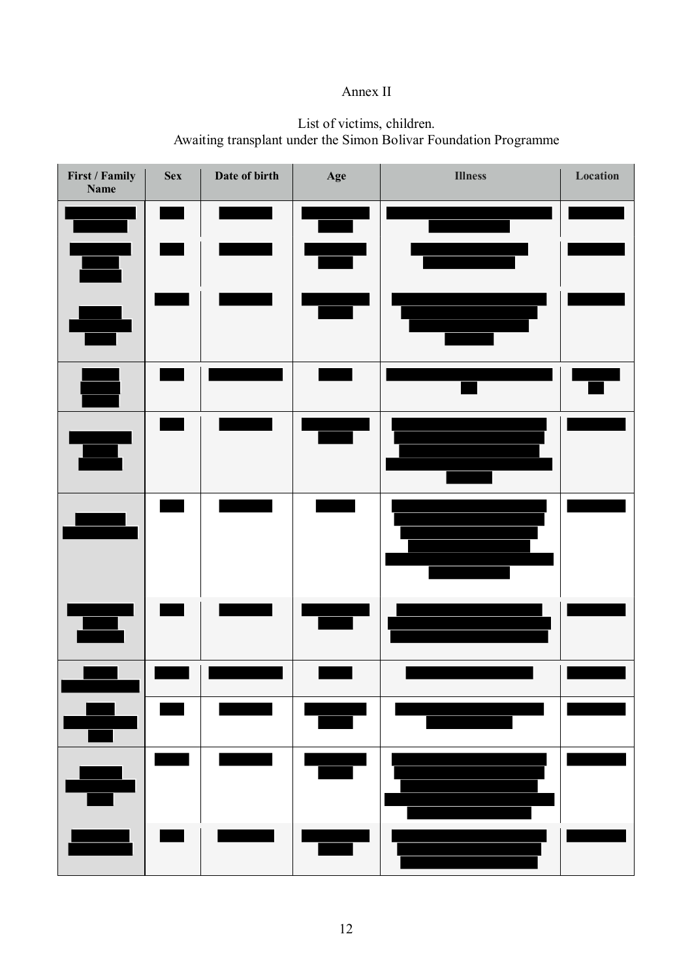# Annex II

## List of victims, children. Awaiting transplant under the Simon Bolivar Foundation Programme

| First / Family<br><b>Name</b> | <b>Sex</b> | Date of birth | Age                | <b>Illness</b>                                                                                                                                                                                                                       | Location |
|-------------------------------|------------|---------------|--------------------|--------------------------------------------------------------------------------------------------------------------------------------------------------------------------------------------------------------------------------------|----------|
|                               |            |               |                    |                                                                                                                                                                                                                                      |          |
|                               |            |               |                    |                                                                                                                                                                                                                                      |          |
|                               |            |               |                    |                                                                                                                                                                                                                                      |          |
|                               |            |               |                    |                                                                                                                                                                                                                                      |          |
|                               |            |               |                    |                                                                                                                                                                                                                                      |          |
|                               |            |               |                    |                                                                                                                                                                                                                                      |          |
|                               |            |               |                    |                                                                                                                                                                                                                                      |          |
|                               |            |               |                    |                                                                                                                                                                                                                                      |          |
| Ŧ                             |            |               | <u>a shekara t</u> |                                                                                                                                                                                                                                      |          |
| ٠Ţ                            |            |               | <u>ang p</u>       |                                                                                                                                                                                                                                      |          |
|                               |            |               |                    | <u> Tanzania de San Francia de San Francia de San Francia de San Francia de San Francia de San Francia de San Francia de San Francia de San Francia de San Francia de San Francia de San Francia de San Francia de San Francia d</u> |          |